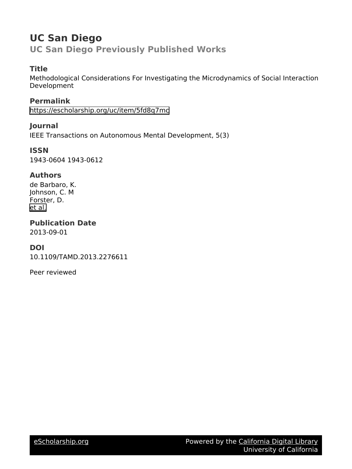# **UC San Diego**

**UC San Diego Previously Published Works**

# **Title**

Methodological Considerations For Investigating the Microdynamics of Social Interaction Development

**Permalink** <https://escholarship.org/uc/item/5fd8q7mc>

**Journal** IEEE Transactions on Autonomous Mental Development, 5(3)

**ISSN** 1943-0604 1943-0612

# **Authors**

de Barbaro, K. Johnson, C. M Forster, D. [et al.](https://escholarship.org/uc/item/5fd8q7mc#author)

**Publication Date** 2013-09-01

# **DOI**

10.1109/TAMD.2013.2276611

Peer reviewed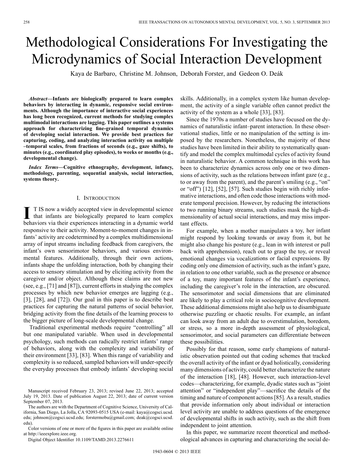# Methodological Considerations For Investigating the Microdynamics of Social Interaction Development

Kaya de Barbaro, Christine M. Johnson, Deborah Forster, and Gedeon O. Deák

*Abstract—***Infants are biologically prepared to learn complex behaviors by interacting in dynamic, responsive social environments. Although the importance of interactive social experiences has long been recognized, current methods for studying complex multimodal interactions are lagging. This paper outlines a systems approach for characterizing fine-grained temporal dynamics of developing social interaction. We provide best practices for capturing, coding, and analyzing interaction activity on multiple –temporal scales, from fractions of seconds (e.g., gaze shifts), to minutes (e.g., coordinated play episodes), to weeks or months (e.g., developmental change).**

*Index Terms—***Cognitive ethnography, development, infancy, methodology, parenting, sequential analysis, social interaction, systems theory.**

#### I. INTRODUCTION

**I** T IS now a widely accepted view in developmental science that infants are biologically prepared to learn complex behaviors via their experiences interacting in a dynamic world responsive to their activity. Moment-to-moment changes in infants' activity are codetermined by a complex multidimensional array of input streams including feedback from caregivers, the infant's own sensorimotor behaviors, and various environmental features. Additionally, through their own actions, infants shape the unfolding interaction, both by changing their access to sensory stimulation and by eliciting activity from the caregiver and/or object. Although these claims are not new (see, e.g., [71] and [87]), current efforts in studying the complex processes by which new behavior emerges are lagging (e.g., [3], [28], and [72]). Our goal in this paper is to describe best practices for capturing the natural patterns of social behavior, bridging activity from the fine details of the learning process to the bigger picture of long-scale developmental change.

Traditional experimental methods require "controlling" all but one manipulated variable. When used in developmental psychology, such methods can radically restrict infants' range of behaviors, along with the complexity and variability of their environment [33], [83]. When this range of variability and complexity is so reduced, sampled behaviors will under-specify the everyday processes that embody infants' developing social

The authors are with the Department of Cognitive Science, University of California, San Diego, La Jolla, CA 92093-0515 USA (e-mail: kaya@cogsci.ucsd. edu; johnson@cogsci.ucsd.edu; forstermobu@gmail.com; deak@cogsci.ucsd. edu).

Color versions of one or more of the figures in this paper are available online at http://ieeexplore.ieee.org.

Digital Object Identifier 10.1109/TAMD.2013.2276611

skills. Additionally, in a complex system like human development, the activity of a single variable often cannot predict the activity of the system as a whole [33], [83].

Since the 1970s a number of studies have focused on the dynamics of naturalistic infant–parent interaction. In these observational studies, little or no manipulation of the setting is imposed by the researchers. Nonetheless, the majority of these studies have been limited in their ability to systematically quantify and model the complex multimodal cycles of activity found in naturalistic behavior. A common technique in this work has been to characterize dynamics across only one or two dimensions of activity, such as the relations between infant gaze (e.g., to or away from the parent), and the parent's smiling (e.g., "on" or "off") [12], [52], [57]. Such studies begin with richly informative interactions, and often code those interactions with moderate temporal precision. However, by reducing the interactions to two running binary streams, such studies mask the high-dimensionality of actual social interactions, and may miss important effects.

For example, when a mother manipulates a toy, her infant might respond by looking towards or away from it, but he might also change his posture (e.g., lean in with interest or pull back with apprehension), reach out to grasp the toy, or reveal emotional changes via vocalizations or facial expressions. By coding only one dimension of activity, such as the infant's gaze, in relation to one other variable, such as the presence or absence of a toy, many important features of the infant's experience, including the caregiver's role in the interaction, are obscured. The sensorimotor and social dimensions that are eliminated are likely to play a critical role in sociocognitive development. These additional dimensions might also help us to disambiguate otherwise puzzling or chaotic results. For example, an infant can look away from an adult due to overstimulation, boredom, or stress, so a more in-depth assessment of physiological, sensorimotor, and social parameters can differentiate between these possibilities.

Possibly for that reason, some early champions of naturalistic observation pointed out that coding schemes that tracked the overall activity of the infant or dyad holistically, considering many dimensions of activity, could better characterize the nature of the interaction [18], [48]. However, such interaction-level codes—characterizing, for example, dyadic states such as "joint attention" or "independent play"—sacrifice the details of the timing and nature of component actions [85]. As a result, studies that provide information only about individual or interaction level activity are unable to address questions of the emergence of developmental shifts in such activity, such as the shift from independent to joint attention.

In this paper, we summarize recent theoretical and methodological advances in capturing and characterizing the social de-

Manuscript received February 23, 2013; revised June 22, 2013; accepted July 19, 2013. Date of publication August 22, 2013; date of current version September 07, 2013.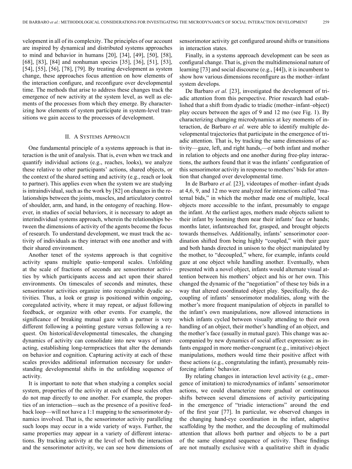velopment in all of its complexity. The principles of our account are inspired by dynamical and distributed systems approaches to mind and behavior in humans [20], [34], [49], [50], [58], [68], [83], [84] and nonhuman species [35], [36], [51], [53], [54], [55], [56], [78], [79]. By treating development as system change, these approaches focus attention on how elements of the interaction configure, and reconfigure over developmental time. The methods that arise to address these changes track the emergence of new activity at the system level, as well as elements of the processes from which they emerge. By characterizing how elements of system participate in system-level transitions we gain access to the processes of development.

### II. A SYSTEMS APPROACH

One fundamental principle of a systems approach is that interaction is the unit of analysis. That is, even when we track and quantify individual actions (e.g., reaches, looks), we analyze these relative to other participants' actions, shared objects, or the context of the shared setting and activity (e.g., reach or look to partner). This applies even when the system we are studying is intraindividual, such as the work by [82] on changes in the relationships between the joints, muscles, and articulatory control of shoulder, arm, and hand, in the ontogeny of reaching. However, in studies of social behaviors, it is necessary to adopt an interindividual systems approach, wherein the relationships between the dimensions of activity of the agents become the focus of research. To understand development, we must track the activity of individuals as they interact with one another and with their shared environment.

Another tenet of the systems approach is that cognitive activity spans multiple spatio–temporal scales. Unfolding at the scale of fractions of seconds are sensorimotor activities by which participants access and act upon their shared environments. On timescales of seconds and minutes, these sensorimotor activities organize into recognizable dyadic activities. Thus, a look or grasp is positioned within ongoing, coregulated activity, where it may repeat, or adjust following feedback, or organize with other events. For example, the significance of breaking mutual gaze with a partner is very different following a pointing gesture versus following a request. On historical/developmental timescales, the changing dynamics of activity can consolidate into new ways of interacting, establishing long-termpractices that alter the demands on behavior and cognition. Capturing activity at each of these scales provides additional information necessary for understanding developmental shifts in the unfolding sequence of activity.

It is important to note that when studying a complex social system, properties of the activity at each of these scales often do not map directly to one another. For example, the properties of an interaction—such as the presence of a positive feedback loop—will not have a 1:1 mapping to the sensorimotor dynamics involved. That is, the sensorimotor activity paralleling such loops may occur in a wide variety of ways. Further, the same properties may appear in a variety of different interactions. By tracking activity at the level of both the interaction and the sensorimotor activity, we can see how dimensions of sensorimotor activity get configured around shifts or transitions in interaction states.

Finally, in a systems approach development can be seen as configural change. That is, given the multidimensional nature of learning [73] and social discourse (e.g., [44]), it is incumbent to show how various dimensions reconfigure as the mother–infant system develops.

De Barbaro *et al.* [23], investigated the development of triadic attention from this perspective. Prior research had established that a shift from dyadic to triadic (mother–infant–object) play occurs between the ages of 9 and 12 mo (see Fig. 1). By characterizing changing microdynamics at key moments of interaction, de Barbaro *et al.* were able to identify multiple developmental trajectories that participate in the emergence of triadic attention. That is, by tracking the same dimensions of activity—gaze, left, and right hands,—of both infant and mother in relation to objects and one another during free-play interactions, the authors found that it was the infants' configuration of this sensorimotor activity in response to mothers' bids for attention that changed over developmental time.

In de Barbaro *et al.* [23], videotapes of mother–infant dyads at 4,6, 9, and 12 mo were analyzed for interactions called "maternal bids," in which the mother made one of multiple, local objects more accessible to the infant, presumably to engage the infant. At the earliest ages, mothers made objects salient to their infant by looming them near their infants' face or hands; months later, infantsreached for, grasped, and brought objects towards themselves. Additionally, infants' sensorimotor coordination shifted from being highly "coupled," with their gaze and both hands directed in unison to the object manipulated by the mother, to "decoupled," where, for example, infants could gaze at one object while handling another. Eventually, when presented with a novel object, infants would alternate visual attention between his mothers' object and his or her own. This changed the dynamic of the "negotiation" of these toy bids in a way that altered coordinated object play. Specifically, the decoupling of infants' sensorimotor modalities, along with the mother's more frequent manipulation of objects in parallel to the infant's own manipulations, now allowed interactions in which infants cycled between visually attending to their own handling of an object, their mother's handling of an object, and the mother's face (usually in mutual gaze). This change was accompanied by new dynamics of social affect expression: as infants engaged in more mother-congruent (e.g., imitative) object manipulations, mothers would time their positive affect with these actions (e.g., congratulating the infant), presumably reinforcing infants' behavior.

By relating changes in interaction level activity (e.g., emergence of imitation) to microdynamics of infants' sensorimotor actions, we could characterize more gradual or continuous shifts between several dimensions of activity participating in the emergence of "triadic interactions" around the end of the first year [77]. In particular, we observed changes in the changing hand-eye coordination in the infant, adaptive scaffolding by the mother, and the decoupling of multimodal attention that allows both partner and objects to be a part of the same elongated sequence of activity. These findings are not mutually exclusive with a qualitative shift in dyadic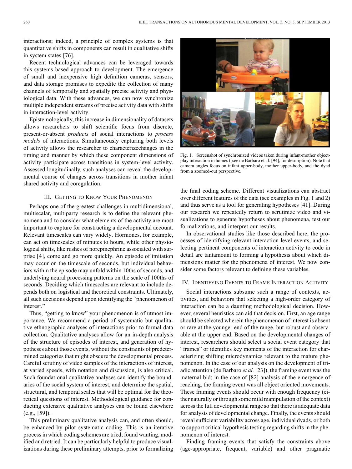interactions; indeed, a principle of complex systems is that quantitative shifts in components can result in qualitative shifts in system states [76].

Recent technological advances can be leveraged towards this systems based approach to development. The emergence of small and inexpensive high definition cameras, sensors, and data storage promises to expedite the collection of many channels of temporally and spatially precise activity and physiological data. With these advances, we can now synchronize multiple independent streams of precise activity data with shifts in interaction-level activity.

Epistemologically, this increase in dimensionality of datasets allows researchers to shift scientific focus from discrete, present-or-absent *products* of social interactions to *process models* of interactions. Simultaneously capturing both levels of activity allows the researcher to characterizechanges in the timing and manner by which these component dimensions of activity participate across transitions in system-level activity. Assessed longitudinally, such analyses can reveal the developmental course of changes across transitions in mother infant shared activity and coregulation.

## III. GETTING TO KNOW YOUR PHENOMENON

Perhaps one of the greatest challenges in multidimensional, multiscalar, multiparty research is to define the relevant phenomena and to consider what elements of the activity are most important to capture for constructing a developmental account. Relevant timescales can vary widely. Hormones, for example, can act on timescales of minutes to hours, while other physiological shifts, like rushes of norepinephrine associated with surprise [4], come and go more quickly. An episode of imitation may occur on the timescale of seconds, but individual behaviors within the episode may unfold within 10ths of seconds, and underlying neural processing patterns on the scale of 100ths of seconds. Deciding which timescales are relevant to include depends both on logistical and theoretical constraints. Ultimately, all such decisions depend upon identifying the "phenomenon of interest."

Thus, "getting to know" your phenomenon is of utmost importance. We recommend a period of systematic but qualitative ethnographic analyses of interactions prior to formal data collection. Qualitative analyses allow for an in-depth analysis of the structure of episodes of interest, and generation of hypotheses about those events, without the constraints of predetermined categories that might obscure the developmental process. Careful scrutiny of video samples of the interactions of interest, at varied speeds, with notation and discussion, is also critical. Such foundational qualitative analyses can identify the boundaries of the social system of interest, and determine the spatial, structural, and temporal scales that will be optimal for the theoretical questions of interest. Methodological guidance for conducting extensive qualitative analyses can be found elsewhere (e.g., [59]).

This preliminary qualitative analysis can, and often should, be enhanced by pilot systematic coding. This is an iterative process in which coding schemes are tried, found wanting, modified and retried. It can be particularly helpful to produce visualizations during these preliminary attempts, prior to formalizing



Fig. 1. Screenshot of synchronized videos taken during infant-mother objectplay interaction in homes ([see de Barbaro et al. [94], for description). Note that camera angles focus on infant upper-body, mother upper-body, and the dyad from a zoomed-out perspective.

the final coding scheme. Different visualizations can abstract over different features of the data (see examples in Fig. 1 and 2) and thus serve as a tool for generating hypotheses [41]. During our research we repeatedly return to scrutinize video and visualizations to generate hypotheses about phenomena, test our formalizations, and interpret our results.

In observational studies like those described here, the processes of identifying relevant interaction level events, and selecting pertinent components of interaction activity to code in detail are tantamount to forming a hypothesis about which dimensions matter for the phenomena of interest. We now consider some factors relevant to defining these variables.

## IV. IDENTIFYING EVENTS TO FRAME INTERACTION ACTIVITY

Social interactions subsume such a range of contexts, activities, and behaviors that selecting a high-order category of interaction can be a daunting methodological decision. However, several heuristics can aid that decision. First, an age range should be selected wherein the phenomenon of interest is absent or rare at the younger end of the range, but robust and observable at the upper end. Based on the developmental changes of interest, researchers should select a social event category that "frames" or identifies key moments of the interaction for characterizing shifting microdynamics relevant to the mature phenomenon. In the case of our analysis on the development of triadic attention (de Barbaro *et al.* [23]), the framing event was the maternal bid; in the case of [82] analysis of the emergence of reaching, the framing event was all object oriented movements. These framing events should occur with enough frequency (either naturally or through some mild manipulation of the context) across the full developmental range so that there is adequate data for analysis of developmental change. Finally, the events should reveal sufficient variability across age, individual dyads, or both to support critical hypothesis testing regarding shifts in the phenomenon of interest.

Finding framing events that satisfy the constraints above (age-appropriate, frequent, variable) and other pragmatic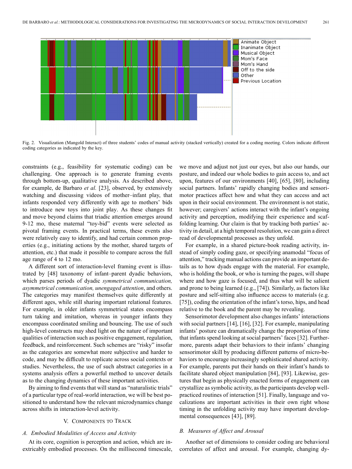

Fig. 2. Visualization (Mangold Interact) of three students' codes of manual activity (stacked vertically) created for a coding meeting. Colors indicate different coding categories as indicated by the key.

constraints (e.g., feasibility for systematic coding) can be challenging. One approach is to generate framing events through bottom-up, qualitative analysis. As described above, for example, de Barbaro *et al.* [23], observed, by extensively watching and discussing videos of mother–infant play, that infants responded very differently with age to mothers' bids to introduce new toys into joint play. As these changes fit and move beyond claims that triadic attention emerges around 9-12 mo, these maternal "toy-bid" events were selected as pivotal framing events. In practical terms, these events also were relatively easy to identify, and had certain common properties (e.g., initiating actions by the mother, shared targets of attention, etc.) that made it possible to compare across the full age range of 4 to 12 mo.

A different sort of interaction-level framing event is illustrated by [48] taxonomy of infant–parent dyadic behaviors, which parses periods of dyadic *symmetrical communication, asymmetrical communication, unengaged attention*, and others. The categories may manifest themselves quite differently at different ages, while still sharing important relational features. For example, in older infants symmetrical states encompass turn taking and imitation, whereas in younger infants they encompass coordinated smiling and bouncing. The use of such high-level constructs may shed light on the nature of important qualities of interaction such as positive engagement, regulation, feedback, and reinforcement. Such schemes are "risky" insofar as the categories are somewhat more subjective and harder to code, and may be difficult to replicate across social contexts or studies. Nevertheless, the use of such abstract categories in a systems analysis offers a powerful method to uncover details as to the changing dynamics of these important activities.

By aiming to find events that will stand as "naturalistic trials" of a particular type of real-world interaction, we will be best positioned to understand how the relevant microdynamics change across shifts in interaction-level activity.

# V. COMPONENTS TO TRACK

## *A. Embodied Modalities of Access and Activity*

At its core, cognition is perception and action, which are inextricably embodied processes. On the millisecond timescale,

we move and adjust not just our eyes, but also our hands, our posture, and indeed our whole bodies to gain access to, and act upon, features of our environments [40], [65], [80], including social partners. Infants' rapidly changing bodies and sensorimotor practices affect how and what they can access and act upon in their social environment. The environment is not static, however; caregivers' actions interact with the infant's ongoing activity and perception, modifying their experience and scaffolding learning. Our claim is that by tracking both parties' activity in detail, at a high temporal resolution, we can gain a direct read of developmental processes as they unfold.

For example, in a shared picture-book reading activity, instead of simply coding gaze, or specifying anamodal "focus of attention," tracking manual actions can provide an important details as to how dyads engage with the material. For example, who is holding the book, or who is turning the pages, will shape where and how gaze is focused, and thus what will be salient and prone to being learned (e.g., [74]). Similarly, as factors like posture and self-sitting also influence access to materials (e.g. [75]), coding the orientation of the infant's torso, hips, and head relative to the book and the parent may be revealing.

Sensorimotor development also changes infants' interactions with social partners [14], [16], [32]. For example, manipulating infants' posture can dramatically change the proportion of time that infants spend looking at social partners' faces [32]. Furthermore, parents adapt their behaviors to their infants' changing sensorimotor skill by producing different patterns of micro-behaviors to encourage increasingly sophisticated shared activity. For example, parents put their hands on their infant's hands to facilitate shared object manipulation [84], [93]. Likewise, gestures that begin as physically enacted forms of engagement can crystallize as symbolic activity, as the participants develop wellpracticed routines of interaction [51]. Finally, language and vocalizations are important activities in their own right whose timing in the unfolding activity may have important developmental consequences [43], [89].

#### *B. Measures of Affect and Arousal*

Another set of dimensions to consider coding are behavioral correlates of affect and arousal. For example, changing dy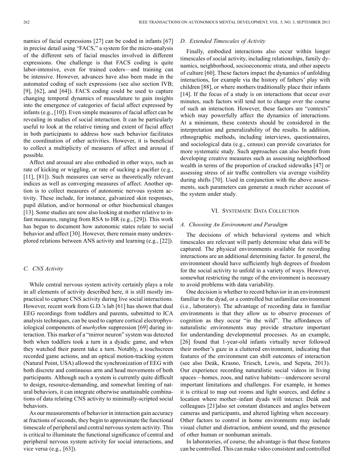namics of facial expressions [27] can be coded in infants [67] in precise detail using "FACS," a system for the micro-analysis of the different sets of facial muscles involved in different expressions. One challenge is that FACS coding is quite labor-intensive, even for trained coders—and training can be intensive. However, advances have also been made in the automated coding of such expressions (see also section IVB; [9], [62], and [64]). FACS coding could be used to capture changing temporal dynamics of musculature to gain insights into the emergence of categories of facial affect expressed by infants (e.g., [10]). Even simple measures of facial affect can be revealing in studies of social interaction. It can be particularly useful to look at the relative timing and extent of facial affect in both participants to address how such behavior facilitates the coordination of other activities. However, it is beneficial to collect a multiplicity of measures of affect and arousal if possible.

Affect and arousal are also embodied in other ways, such as rate of kicking or wiggling, or rate of sucking a pacifier (e.g., [11], [81]). Such measures can serve as theoretically relevant indices as well as converging measures of affect. Another option is to collect measures of autonomic nervous system activity. These include, for instance, galvanized skin responses, pupil dilation, and/or hormonal or other biochemical changes [13]. Some studies are now also looking at mother relative to infant measures, ranging from RSA to HR (e.g., [29]). This work has begun to document how autonomic states relate to social behavior and affect [30]. However, there remain many underexplored relations between ANS activity and learning (e.g., [22]).

# *C. CNS Activity*

While central nervous system activity certainly plays a role in all elements of activity described here, it is still mostly impractical to capture CNS activity during live social interactions. However, recent work from G.D.'s lab [61] has shown that dual EEG recordings from toddlers and parents, submitted to ICA analysis techniques, can be used to capture cortical electrophysiological components of *murhythm* suppression [69] during interaction. This marker of a "mirror neuron" system was detected both when toddlers took a turn in a dyadic game, and when they watched their parent take a turn. Notably, a touchscreen recorded game actions, and an optical motion-tracking system (Natural Point, USA) allowed the synchronization of EEG with both discrete and continuous arm and head movements of both participants. Although such a system is currently quite difficult to design, resource-demanding, and somewhat limiting of natural behaviors, it can integrate otherwise unattainable combinations of data relating CNS activity to minimally-scripted social behaviors.

As our measurements of behavior in interaction gain accuracy at fractions of seconds, they begin to approximate the functional timescale of peripheral and central nervous system activity. This is critical to illuminate the functional significance of central and peripheral nervous system activity for social interactions, and vice versa (e.g., [63]).

# *D. Extended Timescales of Activity*

Finally, embodied interactions also occur within longer timescales of social activity, including relationships, family dynamics, neighborhood, socioeconomic strata, and other aspects of culture [60]. These factors impact the dynamics of unfolding interactions, for example via the history of fathers' play with children [88], or where mothers traditionally place their infants [14]. If the focus of a study is on interactions that occur over minutes, such factors will tend not to change over the course of such an interaction. However, these factors are "contexts" which may powerfully affect the dynamics of interactions. At a minimum, these contexts should be considered in the interpretation and generalizability of the results. In addition, ethnographic methods, including interviews, questionnaires, and sociological data (e.g., census) can provide covariates for more systematic study. Such approaches can also benefit from developing creative measures such as assessing neighborhood wealth in terms of the proportion of cracked sidewalks [47] or assessing stress of air traffic controllers via average visibility during shifts [70]. Used in conjunction with the above assessments, such parameters can generate a much richer account of the system under study.

#### VI. SYSTEMATIC DATA COLLECTION

#### *A. Choosing An Environment and Paradigm*

The decisions of which behavioral systems and which timescales are relevant will partly determine what data will be captured. The physical environments available for recording interactions are an additional determining factor. In general, the environment should have sufficiently high degrees of freedom for the social activity to unfold in a variety of ways. However, somewhat restricting the range of the environment is necessary to avoid problems with data variability.

One decision is whether to record behavior in an environment familiar to the dyad, or a controlled but unfamiliar environment (i.e., laboratory). The advantage of recording data in familiar environments is that they allow us to observe processes of cognition as they occur "in the wild". The affordances of naturalistic environments may provide structure important for understanding developmental processes. As an example, [26] found that 1-year-old infants virtually never followed their mother's gaze in a cluttered environment, indicating that features of the environment can shift outcomes of interaction (see also Deák, Krasno, Triesch, Lewis, and Sepeta, 2013). Our experience recording naturalistic social videos in living spaces—homes, zoos, and native habitats—underscore several important limitations and challenges. For example, in homes it is critical to map out rooms and light sources, and define a location where mother–infant dyads will interact. Deák and colleagues [21]also set constant distances and angles between cameras and participants, and altered lighting when necessary. Other factors to control in home environments may include visual clutter and distraction, ambient sound, and the presence of other human or nonhuman animals.

In laboratories, of course, the advantage is that these features can be controlled. This can make video consistent and controlled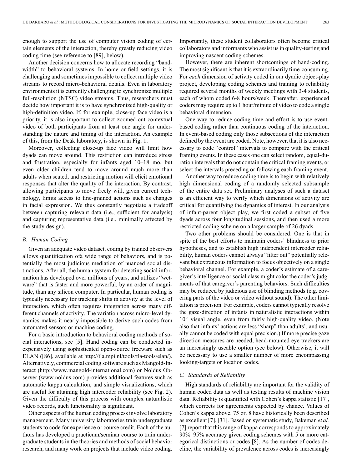enough to support the use of computer vision coding of certain elements of the interaction, thereby greatly reducing video coding time (see reference to [89], below).

Another decision concerns how to allocate recording "bandwidth" to behavioral systems. In home or field settings, it is challenging and sometimes impossible to collect multiple video streams to record micro-behavioral details. Even in laboratory environments it is currently challenging to synchronize multiple full-resolution (NTSC) video streams. Thus, researchers must decide how important it is to have synchronized high-quality or high-definition video. If, for example, close-up face video is a priority, it is also important to collect zoomed-out contextual video of both participants from at least one angle for understanding the nature and timing of the interaction. An example of this, from the Deák laboratory, is shown in Fig. 1.

Moreover, collecting close-up face video will limit how dyads can move around. This restriction can introduce stress and frustration, especially for infants aged 10–18 mo, but even older children tend to move around much more than adults when seated, and restricting motion will elicit emotional responses that alter the quality of the interaction. By contrast, allowing participants to move freely will, given current technology, limits access to fine-grained actions such as changes in facial expression. We thus constantly negotiate a tradeoff between capturing relevant data (i.e., sufficient for analysis) and capturing representative data (i.e., minimally affected by the study design).

#### *B. Human Coding*

Given an adequate video dataset, coding by trained observers allows quantification ofa wide range of behaviors, and is potentially the most judicious mediation of nuanced social distinctions. After all, the human system for detecting social information has developed over millions of years, and utilizes "wetware" that is faster and more powerful, by an order of magnitude, than any silicon computer. In particular, human coding is typically necessary for tracking shifts in activity at the level of interaction, which often requires integration across many different channels of activity. The variation across micro-level dynamics makes it nearly impossible to derive such codes from automated sensors or machine coding.

For a basic introduction to behavioral coding methods of social interactions, see [5]. Hand coding can be conducted inexpensively using sophisticated open-source freeware such as ELAN ([86], available at http://tla.mpi.nl/tools/tla-tools/elan/). Alternatively, commercial coding software such as Mangold-Interact (http://www.mangold-international.com) or Noldus Observer (www.noldus.com) provides additional features such as automatic kappa calculation, and simple visualizations, which are useful for attaining high intercoder reliability (see Fig. 2). Given the difficulty of this process with complex naturalistic video records, such functionality is significant.

Other aspects of the human coding process involve laboratory management. Many university laboratories train undergraduate students to code for experience or course credit. Each of the authors has developed a practicum/seminar course to train undergraduate students in the theories and methods of social behavior research, and many work on projects that include video coding. Importantly, these student collaborators often become critical collaborators and informants who assist us in quality-testing and improving nascent coding schemes.

However, there are inherent shortcomings of hand-coding. The most significant is that it is extraordinarily time-consuming. For *each* dimension of activity coded in our dyadic object-play project, developing coding schemes and training to reliability required several months of weekly meetings with 3-4 students, each of whom coded 6-8 hours/week. Thereafter, experienced coders may require up to 1 hour/minute of video to code a single behavioral dimension.

One way to reduce coding time and effort is to use eventbased coding rather than continuous coding of the interaction. In event-based coding only those subsections of the interaction defined by the event are coded. Note, however, that it is also necessary to code "control" intervals to compare with the critical framing events. In these cases one can select random, equal-duration intervals that do not contain the critical framing events, or select the intervals preceding or following each framing event.

Another way to reduce coding time is to begin with relatively high dimensional coding of a randomly selected subsample of the entire data set. Preliminary analyses of such a dataset is an efficient way to verify which dimensions of activity are critical for quantifying the dynamics of interest. In our analysis of infant-parent object play, we first coded a subset of five dyads across four longitudinal sessions, and then used a more restricted coding scheme on a larger sample of 26 dyads.

Two other problems should be considered: One is that in spite of the best efforts to maintain coders' blindness to prior hypotheses, and to establish high independent intercoder reliability, human coders cannot always "filter out" potentially relevant but extraneous information to focus objectively on a single behavioral channel. For example, a coder's estimate of a caregiver's intelligence or social class might color the coder's judgments of that caregiver's parenting behaviors. Such difficulties may be reduced by judicious use of blinding methods (e.g. covering parts of the video or video without sound). The other limitation is precision. For example, coders cannot typically resolve the gaze-direction of infants in naturalistic interactions within  $10^{\circ}$  visual angle, even from fairly high-quality video. (Note also that infants' actions are less "sharp" than adults', and usually cannot be coded with equal precision.) If more precise gaze direction measures are needed, head-mounted eye trackers are an increasingly useable option (see below). Otherwise, it will be necessary to use a smaller number of more encompassing looking-targets or location codes.

#### *C. Standards of Reliability*

High standards of reliability are important for the validity of human coded data as well as testing results of machine vision data. Reliability is quantified with Cohen's kappa statistic [17], which corrects for agreements expected by chance. Values of Cohen's kappa above. 75 or. 8 have historically been described as excellent [7], [31]. Based on systematic study, Bakeman *et al.* [7] report that this range of kappa corresponds to approximately 90%–95% accuracy given coding schemes with 5 or more categorical distinctions or codes [8]. As the number of codes decline, the variability of prevalence across codes is increasingly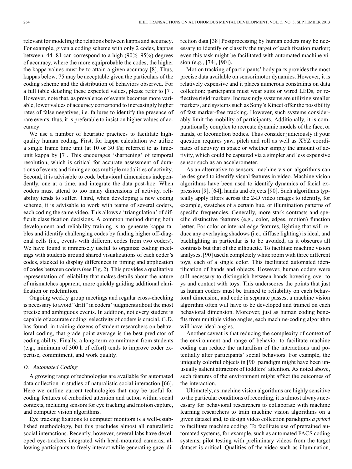relevant for modeling the relations between kappa and accuracy. For example, given a coding scheme with only 2 codes, kappas between. 44-.81 can correspond to a high (90%–95%) degrees of accuracy, where the more equiprobable the codes, the higher the kappa values must be to attain a given accuracy [8]. Thus, kappas below. 75 may be acceptable given the particulars of the coding scheme and the distribution of behaviors observed. For a full table detailing these expected values, please refer to [7]. However, note that, as prevalence of events becomes more variable, lower values of accuracy correspond to increasingly higher rates of false negatives, i.e. failures to identify the presence of rare events, thus, it is preferable to insist on higher values of accuracy.

We use a number of heuristic practices to facilitate highquality human coding. First, for kappa calculation we utilize a single frame time unit (at 10 or 30 f/s; referred to as timeunit kappa by [7]. This encourages 'sharpening' of temporal resolution, which is critical for accurate assessment of durations of events and timing across multiple modalities of activity. Second, it is advisable to code behavioral dimensions independently, one at a time, and integrate the data post-hoc. When coders must attend to too many dimensions of activity, reliability tends to suffer. Third, when developing a new coding scheme, it is advisable to work with teams of several coders, each coding the same video. This allows a 'triangulation' of difficult classification decisions. A common method during both development and reliability training is to generate kappa tables and identify challenging codes by finding higher off-diagonal cells (i.e., events with different codes from two coders). We have found it immensely useful to organize coding meetings with students around shared visualizations of each coder's codes, stacked to display differences in timing and application of codes between coders (see Fig. 2). This provides a qualitative representation of reliability that makes details about the nature of mismatches apparent, more quickly guiding additional clarification or redefinition.

Ongoing weekly group meetings and regular cross-checking is necessary to avoid "drift" in coders' judgments about the most precise and ambiguous events. In addition, not every student is capable of accurate coding: selectivity of coders is crucial. G.D. has found, in training dozens of student researchers on behavioral coding, that grade point average is the best predictor of coding ability. Finally, a long-term commitment from students (e.g., minimum of 300 h of effort) tends to improve coder expertise, commitment, and work quality.

# *D. Automated Coding*

A growing range of technologies are available for automated data collection in studies of naturalistic social interaction [66]. Here we outline current technologies that may be useful for coding features of embodied attention and action within social contexts, including sensors for eye tracking and motion capture, and computer vision algorithms.

Eye tracking fixations to computer monitors is a well-established methodology, but this precludes almost all naturalistic social interactions. Recently, however, several labs have developed eye-trackers integrated with head-mounted cameras, allowing participants to freely interact while generating gaze–direction data [38] Postprocessing by human coders may be necessary to identify or classify the target of each fixation marker; even this task might be facilitated with automated machine vision (e.g., [74], [90]).

Motion tracking of participants' body parts provides the most precise data available on sensorimotor dynamics. However, it is relatively expensive and it places numerous constraints on data collection: participants must wear suits or wired LEDs, or reflective rigid markers. Increasingly systems are utilizing smaller markers, and systems such as Sony's Kinect offer the possibility of fast marker-free tracking. However, such systems considerably limit the mobility of participants. Additionally, it is computationally complex to recreate dynamic models of the face, or hands, or locomotion bodies. Thus consider judiciously if your question requires yaw, pitch and roll as well as XYZ coordinates of activity in space or whether simply the amount of activity, which could be captured via a simpler and less expensive sensor such as an accelerometer.

As an alternative to sensors, machine vision algorithms can be designed to identify visual features in video. Machine vision algorithms have been used to identify dynamics of facial expression [9], [64], hands and objects [90]. Such algorithms typically apply filters across the 2-D video images to identify, for example, swatches of a certain hue, or illumination patterns of specific frequencies. Generally, more stark contrasts and specific distinctive features (e.g., color, edges, motion) function better. For color or internal edge features, lighting that will reduce any overlaying shadows (i.e., diffuse lighting) is ideal, and backlighting in particular is to be avoided, as it obscures all contrasts but that of the silhouette. To facilitate machine vision analyses, [90] used a completely white room with three different toys, each of a single color. This facilitated automated identification of hands and objects. However, human coders were still necessary to distinguish between hands hovering over to ys and contact with toys. This underscores the points that just as human coders must be trained to reliability on each behavioral dimension, and code in separate passes, a machine vision algorithm often will have to be developed and trained on each behavioral dimension. Moreover, just as human coding benefits from multiple video angles, each machine-coding algorithm will have ideal angles.

Another caveat is that reducing the complexity of context of the environment and range of behavior to facilitate machine coding can reduce the naturalism of the interactions and potentially alter participants' social behaviors. For example, the uniquely colorful objects in [90] paradigm might have been unusually salient attractors of toddlers' attention. As noted above, such features of the environment might affect the outcomes of the interaction.

Ultimately, as machine vision algorithms are highly sensitive to the particular conditions of recording, it is almost always necessary for behavioral researchers to collaborate with machine learning researchers to train machine vision algorithms on a given dataset and, to design video collection paradigms *a priori* to facilitate machine coding. To facilitate use of pretrained automated systems, for example, such as automated FACS coding systems, pilot testing with preliminary videos from the target dataset is critical. Qualities of the video such as illumination,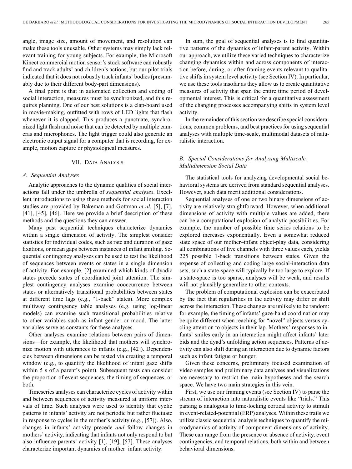angle, image size, amount of movement, and resolution can make these tools unusable. Other systems may simply lack relevant training for young subjects. For example, the Microsoft Kinect commercial motion sensor's stock software can robustly find and track adults' and children's actions, but our pilot trials indicated that it does not robustly track infants' bodies (presumably due to their different body-part dimensions).

A final point is that in automated collection and coding of social interaction, measures must be synchronized, and this requires planning. One of our best solutions is a clap-board used in movie-making, outfitted with rows of LED lights that flash whenever it is clapped. This produces a punctuate, synchronized light flash and noise that can be detected by multiple cameras and microphones. The light trigger could also generate an electronic output signal for a computer that is recording, for example, motion capture or physiological measures.

# VII. DATA ANALYSIS

#### *A. Sequential Analyses*

Analytic approaches to the dynamic qualities of social interactions fall under the umbrella of *sequential analyses*. Excellent introductions to using these methods for social interaction studies are provided by Bakeman and Gottman *et al.* [5], [7], [41], [45], [46]. Here we provide a brief description of these methods and the questions they can answer.

Many past sequential techniques characterize dynamics within a single dimension of activity. The simplest consider statistics for individual codes, such as rate and duration of gaze fixations, or mean gaps between instances of infant smiling. Sequential contingency analyses can be used to test the likelihood of sequences between events or states in a single dimension of activity. For example, [2] examined which kinds of dyadic states precede states of coordinated joint attention. The simplest contingency analyses examine cooccurrence between states or alternatively transitional probabilities between states at different time lags (e.g., "1-back" states). More complex multiway contingency table analyses (e.g. using log-linear models) can examine such transitional probabilities relative to other variables such as infant gender or mood. The latter variables serve as constants for these analyses.

Other analyses examine relations between pairs of dimensions—for example, the likelihood that mothers will synchronize motion with utterances to infants (e.g., [42]). Dependencies between dimensions can be tested via creating a temporal window (e.g., to quantify the likelihood of infant gaze shifts within 5 s of a parent's point). Subsequent tests can consider the proportion of event sequences, the timing of sequences, or both.

Timeseries analyses can characterize cycles of activity within and between sequences of activity measured at uniform intervals of time. Such analyses were used to identify that cyclic patterns in infants' activity are not periodic but rather fluctuate in response to cycles in the mother's activity (e.g., [57]). Also, changes in infants' activity precede *and* follow changes in mothers' activity, indicating that infants not only respond to but also influence parents' activity [1], [19], [57]. These analyses characterize important dynamics of mother–infant activity.

In sum, the goal of sequential analyses is to find quantitative patterns of the dynamics of infant-parent activity. Within our approach, we utilize these varied techniques to characterize changing dynamics within and across components of interaction before, during, or after framing events relevant to qualitative shifts in system level activity (see Section IV). In particular, we use these tools insofar as they allow us to create quantitative measures of activity that span the entire time period of developmental interest. This is critical for a quantitative assessment of the changing processes accompanying shifts in system level activity.

In the remainder of this section we describe special considerations, common problems, and best practices for using sequential analyses with multiple time-scale, multimodal datasets of naturalistic interaction.

# *B. Special Considerations for Analyzing Multiscale, Multidimension Social Data*

The statistical tools for analyzing developmental social behavioral systems are derived from standard sequential analyses. However, such data merit additional considerations.

Sequential analyses of one or two binary dimensions of activity are relatively straightforward. However, when additional dimensions of activity with multiple values are added, there can be a computational explosion of analytic possibilities. For example, the number of possible time series relations to be explored increases exponentially. Even a somewhat reduced state space of our mother–infant object-play data, considering all combinations of five channels with three values each, yields 225 possible 1-back transitions between states. Given the expense of collecting and coding large social-interaction data sets, such a state-space will typically be too large to explore. If a state-space is too sparse, analyses will be weak, and results will not plausibly generalize to other contexts.

The problem of computational explosion can be exacerbated by the fact that regularities in the activity may differ or shift across the interaction. These changes are unlikely to be random: for example, the timing of infants' gaze-hand coordination may be quite different when reaching for "novel" objects versus cycling attention to objects in their lap. Mothers' responses to infants' smiles early in an interaction might affect infants' later bids and the dyad's unfolding action sequences. Patterns of activity can also shift during an interaction due to dynamic factors such as infant fatigue or hunger.

Given these concerns, preliminary focused examination of video samples and preliminary data analyses and visualizations are necessary to restrict the main hypotheses and the search space. We have two main strategies in this vein.

First, we use our framing events (see Section IV) to parse the stream of interaction into naturalistic events like "trials." This parsing is analogous to time-locking cortical activity to stimuli in event-related-potential (ERP) analyses. Within these trails we utilize classic sequential analysis techniques to quantify the microdynamics of activity of component dimensions of activity. These can range from the presence or absence of activity, event contingencies, and temporal relations, both within and between behavioral dimensions.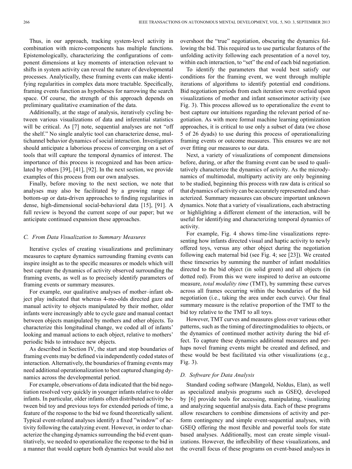Thus, in our approach, tracking system-level activity in combination with micro-components has multiple functions. Epistemologically, characterizing the configurations of component dimensions at key moments of interaction relevant to shifts in system activity can reveal the nature of developmental processes. Analytically, these framing events can make identifying regularities in complex data more tractable. Specifically, framing events function as hypotheses for narrowing the search space. Of course, the strength of this approach depends on preliminary qualitative examination of the data.

Additionally, at the stage of analysis, iteratively cycling between various visualizations of data and inferential statistics will be critical. As [7] note, sequential analyses are not "off the shelf." No single analytic tool can characterize dense, multichannel behavior dynamics of social interaction. Investigators should anticipate a laborious process of converging on a set of tools that will capture the temporal dynamics of interest. The importance of this process is recognized and has been articulated by others [39], [41], [92]. In the next section, we provide examples of this process from our own analyses.

Finally, before moving to the next section, we note that analyses may also be facilitated by a growing range of bottom-up or data-driven approaches to finding regularities in dense, high-dimensional social-behavioral data [15], [91]. A full review is beyond the current scope of our paper; but we anticipate continued expansion these approaches.

#### *C. From Data Visualization to Summary Measures*

Iterative cycles of creating visualizations and preliminary measures to capture dynamics surrounding framing events can inspire insight as to the specific measures or models which will best capture the dynamics of activity observed surrounding the framing events, as well as to precisely identify parameters of framing events or summary measures.

For example, our qualitative analyses of mother–infant object play indicated that whereas 4-mo-olds directed gaze and manual activity to objects manipulated by their mother, older infants were increasingly able to cycle gaze and manual contact between objects manipulated by mothers and other objects. To characterize this longitudinal change, we coded all of infants' looking and manual actions to each object, relative to mothers' periodic bids to introduce new objects.

As described in Section IV, the start and stop boundaries of framing events may be defined via independently coded states of interaction. Alternatively, the boundaries of framing events may need additional operationalization to best captured changing dynamics across the developmental period.

For example, observations of data indicated that the bid negotiation resolved very quickly in younger infants relative to older infants. In particular, older infants often distributed activity between bid toy and previous toys for extended periods of time, a feature of the response to the bid we found theoretically salient. Typical event-related analyses identify a fixed "window" of activity following the catalyzing event. However, in order to characterize the changing dynamics surrounding the bid event quantitatively, we needed to operationalize the response to the bid in a manner that would capture both dynamics but would also not overshoot the "true" negotiation, obscuring the dynamics following the bid. This required us to use particular features of the unfolding activity following each presentation of a novel toy, within each interaction, to "set" the end of each bid negotiation.

To identify the parameters that would best satisfy our conditions for the framing event, we went through multiple iterations of algorithms to identify potential end conditions. Bid negotiation periods from each iteration were overlaid upon visualizations of mother and infant sensorimotor activity (see Fig. 3). This process allowed us to operationalize the event to best capture our intuitions regarding the relevant period of negotiation. As with more formal machine learning optimization approaches, it is critical to use only a subset of data (we chose 5 of 26 dyads) to use during this process of operationalizing framing events or outcome measures. This ensures we are not over fitting our measures to our data.

Next, a variety of visualizations of component dimensions before, during, or after the framing event can be used to qualitatively characterize the dynamics of activity. As the microdynamics of multimodal, multiparty activity are only beginning to be studied, beginning this process with raw data is critical so that dynamics of activity can be accurately represented and characterized. Summary measures can obscure important unknown dynamics. Note that a variety of visualizations, each abstracting or highlighting a different element of the interaction, will be useful for identifying and characterizing temporal dynamics of activity.

For example, Fig. 4 shows time-line visualizations representing how infants directed visual and haptic activity to newly offered toys, versus any other object during the negotiation following each maternal bid (see Fig. 4; see [23]). We created these timeseries by summing the number of infant modalities directed to the bid object (in solid green) and all objects (in dotted red). From this we were inspired to derive an outcome measure, *total modality time* (TMT), by summing these curves across all frames occurring within the boundaries of the bid negotiation (i.e., taking the area under each curve). Our final summary measure is the relative proportion of the TMT to the bid toy relative to the TMT to all toys.

However, TMT curves and measures gloss over various other patterns, such as the timing of directingmodalities to objects, or the dynamics of continued mother activity during the bid effect. To capture these dynamics additional measures and perhaps novel framing events might be created and defined, and these would be best facilitated via other visualizations (e.g., Fig. 3).

#### *D. Software for Data Analysis*

Standard coding software (Mangold, Noldus, Elan), as well as specialized analysis programs such as GSEQ, developed by [6] provide tools for accessing, manipulating, visualizing and analyzing sequential analysis data. Each of these programs allow researchers to combine dimensions of activity and perform contingency and simple event-sequential analyses, with GSEQ offering the most flexible and powerful tools for state based analyses. Additionally, most can create simple visualizations. However, the inflexibility of these visualizations, and the overall focus of these programs on event-based analyses in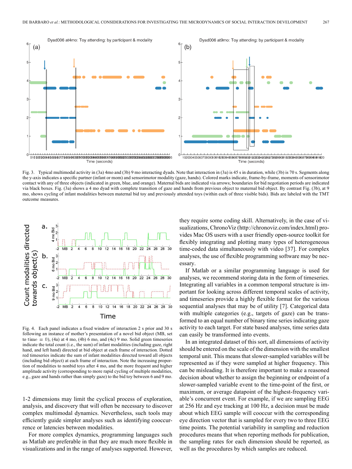![](_page_10_Figure_1.jpeg)

![](_page_10_Figure_2.jpeg)

1020304050607080901001020304050607080920212223242526272829808182838485868788898001020 Time (seconds)

Fig. 3. Typical multimodal activity in (3a) 4mo and (3b) 9 mo interacting dyads. Note that interaction in (3a) is 45 s in duration, while (3b) is 70 s. Segments along the y-axis indicates a specific partner (infant or mom) and sensorimotor modality (gaze, hands). Colored marks indicate, frame-by-frame, moments of sensorimotor contact with any of three objects (indicated in green, blue, and orange). Maternal bids are indicated via arrows; boundaries for bid negotiation periods are indicated via black boxes. Fig. (3a) shows a 4 mo dyad with complete transition of gaze and hands from previous object to maternal bid object. By contrast Fig. (3b), at 9 mo, shows cycling of infant modalities between maternal bid toy and previously attended toys (within each of three visible bids). Bids are labeled with the TMT outcome measures.

![](_page_10_Figure_5.jpeg)

Fig. 4. Each panel indicates a fixed window of interaction 2 s prior and 30 s following an instance of mother's presentation of a novel bid object (MB, set to time  $= 0$ ), (4a) at 4 mo, (4b) 6 mo, and (4c) 9 mo. Solid green timeseries indicate the total count (i.e., the sum) of infant modalities (including gaze, right hand, and left hand) directed at bid object at each frame of interaction. Dotted red timeseries indicate the sum of infant modalities directed toward all objects (including bid object) at each frame of interaction. Note the increasing proportion of modalities to nonbid toys after 4 mo, and the more frequent and higher amplitude activity (corresponding to more rapid cycling of multiple modalities, e.g., gaze and hands rather than simply gaze) to the bid toy between 6 and 9 mo.

1-2 dimensions may limit the cyclical process of exploration, analysis, and discovery that will often be necessary to discover complex multimodal dynamics. Nevertheless, such tools may efficiently guide simpler analyses such as identifying cooccurrence or latencies between modalities.

For more complex dynamics, programming languages such as Matlab are preferable in that they are much more flexible in visualizations and in the range of analyses supported. However,

they require some coding skill. Alternatively, in the case of visualizations, ChronoViz (http://chronoviz.com/index.html) provides Mac OS users with a user friendly open-source toolkit for flexibly integrating and plotting many types of heterogeneous time-coded data simultaneously with video [37]. For complex analyses, the use of flexible programming software may be necessary.

If Matlab or a similar programming language is used for analyses, we recommend storing data in the form of timeseries. Integrating all variables in a common temporal structure is important for looking across different temporal scales of activity, and timeseries provide a highly flexible format for the various sequential analyses that may be of utility [7]. Categorical data with multiple categories (e.g., targets of gaze) can be transformed to an equal number of binary time series indicating gaze activity to each target. For state based analyses, time series data can easily be transformed into events.

In an integrated dataset of this sort, all dimensions of activity should be entered on the scale of the dimension with the smallest temporal unit. This means that slower-sampled variables will be represented as if they were sampled at higher frequency. This can be misleading. It is therefore important to make a reasoned decision about whether to assign the beginning or endpoint of a slower-sampled variable event to the time-point of the first, or maximum, or average datapoint of the highest-frequency variable's concurrent event. For example, if we are sampling EEG at 256 Hz and eye tracking at 100 Hz, a decision must be made about which EEG sample will cooccur with the corresponding eye direction vector that is sampled for every two to three EEG time points. The potential variability in sampling and reduction procedures means that when reporting methods for publication, the sampling rates for each dimension should be reported, as well as the procedures by which samples are reduced.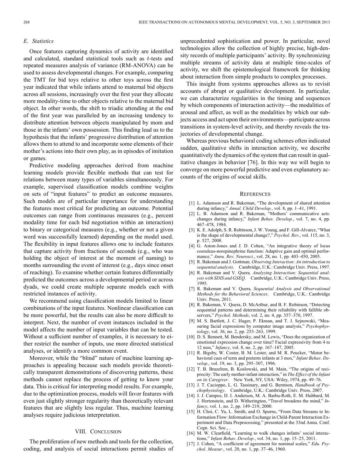# *E. Statistics*

Once features capturing dynamics of activity are identified and calculated, standard statistical tools such as  $t$ -tests and repeated measures analysis of variance (RM-ANOVA) can be used to assess developmental changes. For example, comparing the TMT for bid toys relative to other toys across the first year indicated that while infants attend to maternal bid objects across all sessions, increasingly over the first year they allocate more modality-time to other objects relative to the maternal bid object. In other words, the shift to triadic attending at the end of the first year was paralleled by an increasing tendency to distribute attention between objects manipulated by mom and those in the infants' own possession. This finding lead us to the hypothesis that the infants' progressive distribution of attention allows them to attend to and incorporate some elements of their mother's actions into their own play, as in episodes of imitation or games.

Predictive modeling approaches derived from machine learning models provide flexible methods that can test for relations between many types of variables simultaneously. For example, supervised classification models combine weights on sets of "input features" to predict an outcome measures. Such models are of particular importance for understanding the features most critical for predicting an outcome. Potential outcomes can range from continuous measures (e.g., percent modality time for each bid negotiation within an interaction) to binary or categorical measures (e.g., whether or not a given word was successfully learned) depending on the model used. The flexibility in input features allows one to include features that capture activity from fractions of seconds (e.g., who was holding the object of interest at the moment of naming) to months surrounding the event of interest (e.g., days since onset of reaching). To examine whether certain features differentially predicted the outcomes across a developmental period or across dyads, we could create multiple separate models each with restricted instances of activity.

We recommend using classification models limited to linear combinations of the input features. Nonlinear classification can be more powerful, but the results can also be more difficult to interpret. Next, the number of event instances included in the model affects the number of input variables that can be tested. Without a sufficient number of examples, it is necessary to either restrict the number of inputs, use more directed statistical analyses, or identify a more common event.

Moreover, while the "blind" nature of machine learning approaches is appealing because such models provide theoretically transparent demonstrations of discovering patterns, these methods cannot replace the process of getting to know your data. This is critical for interpreting model results. For example, due to the optimization process, models will favor features with even just slightly stronger regularity than theoretically relevant features that are slightly less regular. Thus, machine learning analyses require judicious interpretation.

# VIII. CONCLUSION

The proliferation of new methods and tools for the collection, coding, and analysis of social interactions permit studies of unprecedented sophistication and power. In particular, novel technologies allow the collection of highly precise, high-density records of multiple participants' activity. By synchronizing multiple streams of activity data at multiple time-scales of activity, we shift the epistemological framework for thinking about interaction from simple products to complex processes.

This insight from systems approaches allows us to revisit accounts of abrupt or qualitative development. In particular, we can characterize regularities in the timing and sequences by which components of interaction activity—the modalities of arousal and affect, as well as the modalities by which our subjects access and act upon their environments—participate across transitions in system-level activity, and thereby reveals the trajectories of developmental change.

Whereas previous behavioral coding schemes often indicated sudden, qualitative shifts in interaction activity, we describe quantitatively the dynamics of the system that can result in qualitative changes in behavior [76]. In this way we will begin to converge on more powerful predictive and even explanatory accounts of the origins of social skills.

#### **REFERENCES**

- [1] L. Adamson and R. Bakeman, "The development of shared attention during infancy," *Annal. Child Develop.*, vol. 8, pp. 1–41, 1991.
- [2] L. B. Adamson and R. Bakeman, "Mothers' communicative acts: changes during infancy," *Infant Behav. Develop.*, vol. 7, no. 4, pp. 467–478, 1984.
- [3] K. E. Adolph, S. R. Robinson, J. W. Young, and F. Gill-Alvarez, "What is the shape of developmental change?," *Psychol. Rev.*, vol. 115, no. 3, p. 527, 2008.
- [4] G. Aston-Jones and J. D. Cohen, "An integrative theory of locus coeruleus-norepinephrine function: Adaptive gain and optimal performance," *Annu. Rev. Neurosci.*, vol. 28, no. 1, pp. 403–450, 2005.
- [5] R. Bakeman and J. Gottman*, Observing Interaction: An introduction to sequential analysis*. Cambridge, U.K.: Cambridge Univ. Press, 1997.
- [6] R. Bakeman and V. Quera*, Analyzing Interaction: Sequential analysis with SDIS and GSEQ*. Cambridge, U.K.: Cambridge Univ. Press, 1995.
- [7] R. Bakeman and V. Quera*, Sequential Analysis and Observational Methods for the Behavioral Sciences*. Cambridge, U.K.: Cambridge Univ. Press, 2011.
- [8] R. Bakeman, V. Quera, D. McArthur, and B. F. Robinson, "Detecting sequential patterns and determining their reliability with fallible observers," *Psychol. Methods*, vol. 2, no. 4, pp. 357–370, 1997.
- [9] M. S. Bartlett, J. C. Hager, P. Ekman, and T. J. Sejnowski, "Measuring facial expressions by computer image analysis," *Psychophysiology*, vol. 36, no. 2, pp. 253–263, 1999.
- [10] D. S. Bennett, M. Bendersky, and M. Lewis, "Does the organization of emotional expression change over time? Facial expressivity from 4 to 12 mos," *Infancy*, vol. 8, no. 2, pp. 167–187, 2005.
- [11] R. Bigsby, W. Coster, B. M. Lester, and M. R. Peucker, "Motor behavioral cues of term and preterm infants at 3 mos," *Infant Behav. Develop.*, vol. 19, no. 3, pp. 295–307, 1996.
- [12] T. B. Brazelton, B. Koslowski, and M. Main, "The origins of reciprocity: The early mother-infant interaction," in *The Effect of the Infant on its Caregiver*. New York, NY, USA: Wiley, 1974, pp. 49–76.
- [13] J. T. Cacioppo, L. G. Tassinary, and G. Berntson*, Handbook of Psychophysiology*. Cambridge, U.K.: Cambridge Univ. Press, 2007.
- [14] J. J. Campos, D. I. Anderson, M. A. Barbu-Roth, E. M. Hubbard, M. J. Hertenstein, and D. Witherington, "Travel broadens the mind," *Infancy*, vol. 1, no. 2, pp. 149–219, 2000.
- [15] H. Choi, C. Yu, L. Smith, and O. Sporns, "From Data Streams to Information Flow: Information Exchange in Child-Parent Interaction Experiment and Data Preprocessing," presented at the 33nd Annu. Conf. Cogn. Sci. Soc.,
- [16] M. W. Clearfield, "Learning to walk changes infants' social interactions," *Infant Behav. Develop.*, vol. 34, no. 1, pp. 15–25, 2011.
- [17] J. Cohen, "A coefficient of agreement for nominal scales," *Edu. Psychol. Measur.*, vol. 20, no. 1, pp. 37–46, 1960.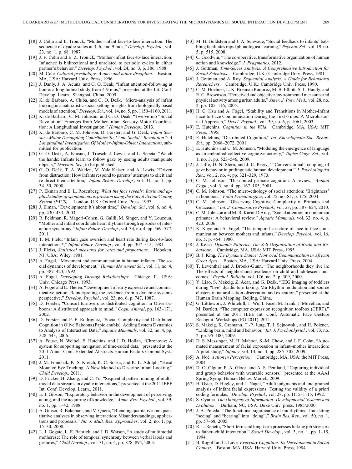- [18] J. Cohn and E. Tronick, "Mother–infant face-to-face interaction: The sequence of dyadic states at 3, 6, and 9 mos," *Develop. Psychol.*, vol. 23, no. 1, p. 68, 1987.
- [19] J. F. Cohn and E. Z. Tronick, "Mother-infant face-to-face interaction: Influence is bidirectional and unrelated to periodic cycles in either partner's behavior," *Develop. Psychol.*, vol. 24, no. 3, p. 386, 1988.
- [20] M. Cole*, Cultural psychology: A once and future discipline*. Boston, MA, USA: Harvard Univ. Press, 1996.
- [21] J. Danly, J. A. Acuña, and G. O. Deák, "Infant attention-following at home: a longitudinal study from 4-9 mos," presented at the Int. Conf. Develop. Learn., Shanghai, China, 2009.
- [22] K. de Barbaro, A. Chiba, and G. O. Deák, "Micro-analysis of infant looking in a naturalistic social setting: insights from biologically based models of attention," *Develop. Sci.*, vol. 14, no. 5, pp. 1150–1160, 2011.
- [23] K. de Barbaro, C. M. Johnson, and G. O. Deák, "Twelve-mo "Social Revolution" Emerges from Mother-Infant Sensory-Motor Coordination: A Longitudinal Investigation," *Human Develop.*, 2013.
- [24] K. de Barbaro, C. M. Johnson, D. Forster, and G. Deák*, Infant Sensory-Motor Decoupling Contributes To 12 mo Social "Revolution": A Longitudinal Investigation Of Mother-Infant-Object Interactions*, submitted for publication.
- [25] G. O. Deák, A. Krasno, J. Triesch, J. Lewis, and L. Sepeta, "Watch the hands: Infants learn to follow gaze by seeing adults manipulate objects," *Develop. Sci.*, to be published.
- [26] G. O. Deák, T. A. Walden, M. Yale Kaiser, and A. Lewis, "Driven from distraction: How infants respond to parents' attempts to elicit and re-direct their attention," *Infant Behav. Develop.*, vol. 31, no. 1, pp. 34–50, 2008.
- [27] P. Ekman and E. L. Rosenberg*, What the face reveals: Basic and applied studies of spontaneous expression using the Facial Action Coding System (FACS)*. London, U.K.: Oxford Univ. Press, 1997.
- [28] J. Elman, "Development: It's about time," *Develop. Sci.*, vol. 6, no. 4, pp. 430–433, 2003.
- [29] R. Feldman, R. Magori-Cohen, G. Galili, M. Singer, and Y. Louzoun, "Mother and infant coordinate heart rhythms through episodes of interaction synchrony," *Infant Behav. Develop.*, vol. 34, no. 4, pp. 569–577, 2011.
- [30] T. M. Field, "Infant gaze aversion and heart rate during face-to-face interactions\*," *Infant Behav. Develop.*, vol. 4, pp. 307–315, 1981.
- [31] J. Fleiss*, Statistical measures for rates and proportions*. Hoboken, NJ, USA: Wiley, 1981.
- [32] A. Fogel, "Movement and communication in human infancy: The social dynamics of development," *Human Movement Sci.*, vol. 11, no. 4, pp. 387–423, 1992.
- [33] A. Fogel*, Developing Through Relationships*. Chicago, IL, USA: Univ. Chicago Press, 1993.
- [34] A. Fogel and E. Thelen, "Development of early expressive and communicative action: Reinterpreting the evidence from a dynamic systems perspective," *Develop. Psychol.*, vol. 23, no. 6, p. 747, 1987.
- [35] D. Forster, "Consort turnovers as distributed cognition in Olive baboons: A distributed approach to mind," *Cogn. Animal*, pp. 163–171, 2002.
- [36] D. Forster and P. F. Rodriguez, "Social Complexity and Distributed Cognition in Olive Baboons (Papio anubis): Adding System Dynamics to Analysis of Interaction Data," *Aquatic Mammals*, vol. 32, no. 4, pp. 528–543, 2006.
- [37] A. Fouse, N. Weibel, E. Hutchins, and J. D. Hollan, "Chronoviz: A system for supporting navigation of time-coded data," presented at the 2011 Annu. Conf. Extended Abstracts Human Factors Comput.Syst., 2011.
- [38] J. M. Franchak, K. S. Kretch, K. C. Soska, and K. E. Adolph, "Head Mounted Eye Tracking: A New Method to Describe Infant Looking," *Child Develop.*, 2011.
- [39] D. Fricker, H. Zhang, and C. Yu, "Sequential pattern mining of multimodal data streams in dyadic interactions," presented at the 2011 IEEE Int. Conf. Develop. Learn., 2011.
- [40] E. J. Gibson, "Exploratory behavior in the development of perceiving, acting, and the acquiring of knowledge," *Annu. Rev. Psychol.*, vol. 39, no. 1, pp. 1–42, 1988.
- [41] A. Gnisci, R. Bakeman, and V. Quera, "Blending qualitative and quantitative analyses in observing interaction: Misunderstandings, applications and proposals," *Int. J. Mult. Res. Approaches*, vol. 2, no. 1, pp. 15–30, 2008.
- [42] L. J. Gogate, L. E. Bahrick, and J. D. Watson, "A study of multimodal motherese: The role of temporal synchrony between verbal labels and gestures," *Child Develop.*, vol. 71, no. 4, pp. 878–894, 2003.
- [43] M. H. Goldstein and J. A. Schwade, "Social feedback to infants' babbling facilitates rapid phonological learning," *Psychol. Sci.*, vol. 19, no. 5, p. 515, 2008.
- [44] C. Goodwin, "The co-operative, transformative organization of human action and knowledge," *J. Pragmatics*, 2012.
- [45] J. Gottman*, Time-Series Analysis: A Comprehensive Introduction for Social Scientists*. Cambridge, U.K.: Cambridge Univ. Press, 1981.
- [46] J. Gottman and A. Roy*, Sequential Analysis: A Guide for Behavioral Researchers*. Cambridge, U.K.: Cambridge Univ. Press, 1990.
- [47] C. M. Hoehner, L. K. Brennan Ramirez, M. B. Elliott, S. L. Handy, and R. C. Brownson, "Perceived and objective environmental measures and physical activity among urban adults," *Amer. J. Prev. Med.*, vol. 28, no. 2, pp. 105–116, 2005.
- [48] H. C. Hsu and A. Fogel, "Stability and Transitions in Mother-Infant Face-to-Face Communication During the First 6 mos: A Microhistorical Approach," *Devel. Psychol.*, vol. 39, no. 6, p. 1061, 2003.
- [49] E. Hutchins*, Cognition in the Wild*. Cambridge, MA, USA: MIT Press, 1995.
- [50] E. Hutchins, "Distributed Cognition," *Int. Encyclopedia Soc. Behav. Sci.*, pp. 2068–2072, 2001.
- [51] E. Hutchins and C. M. Johnson, "Modeling the emergence of language as an embodied collective cognitive activity," *Topics Cogn. Sci.*, vol. 1, no. 3, pp. 523–546, 2009.
- [52] J. Jaffe, D. N. Stern, and J. C. Peery, ""Conversational" coupling of gaze behavior in prelinguistic human development," *J. Psycholinguist Res.*, vol. 2, no. 4, pp. 321–329, 1973.
- [53] C. M. Johnson, "Distributed primate cognition: A review," *Animal Cogn.*, vol. 3, no. 4, pp. 167–183, 2001.
- [54] C. M. Johnson, "The micro-ethology of social attention: 'Brightness' in bonobos.," *Folia Primatologica*, vol. 75, no. S1, p. 175, 2004.
- [55] C. M. Johnson, "Observing Cognitive Complexity in Primates and Cetaceans," *Int. J. Comparative Psychol.*, vol. 23, pp. 587–624, 2010.
- [56] C. M. Johnson and M. R. Karin-D Arcy, "Social attention in nonhuman primates: A behavioral review," *Aquatic Mammals*, vol. 32, no. 4, p. 423, 2006.
- [57] K. Kaye and A. Fogel, "The temporal structure of face-to-face communication between mothers and infants," *Develop. Psychol.*, vol. 16, no. 5, p. 454, 1980.
- [58] J. Kelso*, Dynamic Patterns: The Self Organization of Brain and Behaviour*. Cambridge, MA, USA: MIT Press, 1995.
- [59] B. J. King*, The Dynamic Dance: Nonvocal Communication in African Great Apes*. Boston, MA, USA: Harvard Univ. Press, 2004.
- [60] T. Leventhal and J. Brooks-Gunn, "The neighborhoods they live in: The effects of neighborhood residence on child and adolescent outcomes," *Psychol. Bulletin*, vol. 126, no. 2, p. 309, 2000.
- [61] Y. Liao, S. Makeig, Z. Acar, and G. Deák, "EEG imaging of toddlers during "live" dyadic turn-taking: Mu-Rhythm modulation and source clusters in natural action observation and execution," presented at the Human Brain Mapping, Beijing, China.
- [62] G. Littlewort, J. Whitehill, T. Wu, I. Fasel, M. Frank, J. Movellan, and M. Bartlett, "The computer expression recognition toolbox (CERT)," presented at the 2011 IEEE Int. Conf. Automatic Face Gesture Recognit. Workshops (FG 2011), 2011.
- [63] S. Makeig, K. Gramann, T.-P. Jung, T. J. Sejnowski, and H. Poizner, "Linking brain, mind and behavior," *Int. J. Psychophysiol.*, vol. 73, no. 2, pp. 95–100, 2009.
- [64] D. S. Messinger, M. H. Mahoor, S.-M. Chow, and J. F. Cohn, "Automated measurement of facial expression in infant–mother interaction: A pilot study," *Infancy*, vol. 14, no. 3, pp. 285–305, 2009.
- [65] A. Noë*, Action in Perception*. Cambridge, MA, USA: the MIT Press, 2004.
- [66] D. O. Olguin, P. A. Gloor, and A. S. Pentland, "Capturing individual and group behavior with wearable sensors," presented at the AAAI Spring Symp. Human Behav. Model., 2009.
- [67] H. Oster, D. Hegley, and L. Nagel, "Adult judgments and fine-grained analysis of infant facial expressions: Testing the validity of a priori coding formulas," *Develop. Psychol.*, vol. 28, pp. 1115–1115, 1992.
- [68] S. Oyama*, The Ontogeny of Information: Developmental Systems and Evolution*. Durham, NC, USA: Duke Univ. press, 1985/2000.
- [69] J. A. Pineda, "The functional significance of mu rhythms: Translating "seeing" and "hearing" into "doing"," *Brain Res. Rev.*, vol. 50, no. 1, pp. 57–68, 2005.
- [70] R. L. Repetti, "Short-term and long-term processes linking job stressors to father–child interaction," *Social Develop.*, vol. 3, no. 1, pp. 1–15, 1994.
- [71] B. Rogoff and J. Lave*, Everyday Cognition: Its Development in Social Context*. Boston, MA, USA: Harvard Univ. Press, 1984.